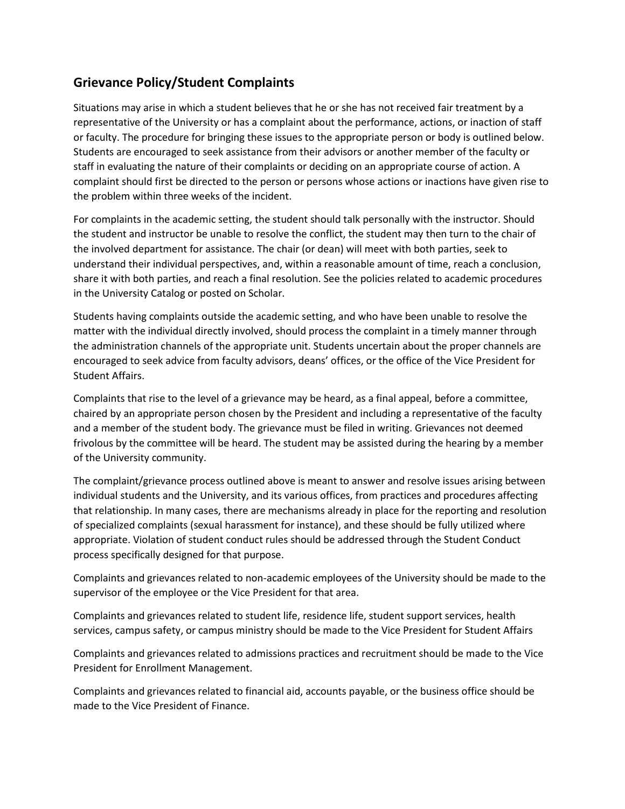## **Grievance Policy/Student Complaints**

Situations may arise in which a student believes that he or she has not received fair treatment by a representative of the University or has a complaint about the performance, actions, or inaction of staff or faculty. The procedure for bringing these issues to the appropriate person or body is outlined below. Students are encouraged to seek assistance from their advisors or another member of the faculty or staff in evaluating the nature of their complaints or deciding on an appropriate course of action. A complaint should first be directed to the person or persons whose actions or inactions have given rise to the problem within three weeks of the incident.

For complaints in the academic setting, the student should talk personally with the instructor. Should the student and instructor be unable to resolve the conflict, the student may then turn to the chair of the involved department for assistance. The chair (or dean) will meet with both parties, seek to understand their individual perspectives, and, within a reasonable amount of time, reach a conclusion, share it with both parties, and reach a final resolution. See the policies related to academic procedures in the University Catalog or posted on Scholar.

Students having complaints outside the academic setting, and who have been unable to resolve the matter with the individual directly involved, should process the complaint in a timely manner through the administration channels of the appropriate unit. Students uncertain about the proper channels are encouraged to seek advice from faculty advisors, deans' offices, or the office of the Vice President for Student Affairs.

Complaints that rise to the level of a grievance may be heard, as a final appeal, before a committee, chaired by an appropriate person chosen by the President and including a representative of the faculty and a member of the student body. The grievance must be filed in writing. Grievances not deemed frivolous by the committee will be heard. The student may be assisted during the hearing by a member of the University community.

The complaint/grievance process outlined above is meant to answer and resolve issues arising between individual students and the University, and its various offices, from practices and procedures affecting that relationship. In many cases, there are mechanisms already in place for the reporting and resolution of specialized complaints (sexual harassment for instance), and these should be fully utilized where appropriate. Violation of student conduct rules should be addressed through the Student Conduct process specifically designed for that purpose.

Complaints and grievances related to non-academic employees of the University should be made to the supervisor of the employee or the Vice President for that area.

Complaints and grievances related to student life, residence life, student support services, health services, campus safety, or campus ministry should be made to the Vice President for Student Affairs

Complaints and grievances related to admissions practices and recruitment should be made to the Vice President for Enrollment Management.

Complaints and grievances related to financial aid, accounts payable, or the business office should be made to the Vice President of Finance.